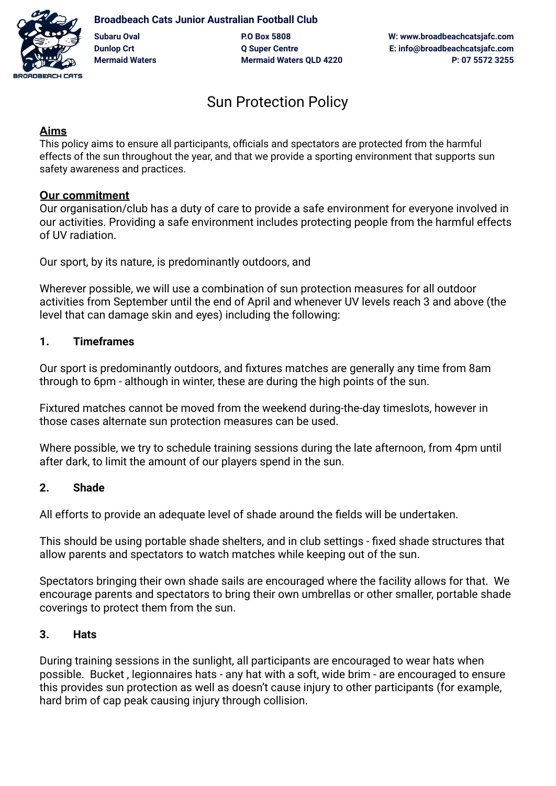

**Broadbeach Cats Junior Australian Football Club Subaru Oval P.O Box 5808 W: www.broadbeachcatsjafc.com Dunlop Crt Q Super Centre E: info@broadbeachcatsjafc.com**

**Mermaid Waters Mermaid Waters QLD 4220 P: 07 5572 3255**

# Sun Protection Policy

## **Aims**

This policy aims to ensure all participants, officials and spectators are protected from the harmful effects of the sun throughout the year, and that we provide a sporting environment that supports sun safety awareness and practices.

## **Our commitment**

Our organisation/club has a duty of care to provide a safe environment for everyone involved in our activities. Providing a safe environment includes protecting people from the harmful effects of UV radiation.

Our sport, by its nature, is predominantly outdoors, and

Wherever possible, we will use a combination of sun protection measures for all outdoor activities from September until the end of April and whenever UV levels reach 3 and above (the level that can damage skin and eyes) including the following:

# **1. Timeframes**

Our sport is predominantly outdoors, and fixtures matches are generally any time from 8am through to 6pm - although in winter, these are during the high points of the sun.

Fixtured matches cannot be moved from the weekend during-the-day timeslots, however in those cases alternate sun protection measures can be used.

Where possible, we try to schedule training sessions during the late afternoon, from 4pm until after dark, to limit the amount of our players spend in the sun.

## **2. Shade**

All efforts to provide an adequate level of shade around the fields will be undertaken.

This should be using portable shade shelters, and in club settings - fixed shade structures that allow parents and spectators to watch matches while keeping out of the sun.

Spectators bringing their own shade sails are encouraged where the facility allows for that. We encourage parents and spectators to bring their own umbrellas or other smaller, portable shade coverings to protect them from the sun.

## **3. Hats**

During training sessions in the sunlight, all participants are encouraged to wear hats when possible. Bucket , legionnaires hats - any hat with a soft, wide brim - are encouraged to ensure this provides sun protection as well as doesn't cause injury to other participants (for example, hard brim of cap peak causing injury through collision.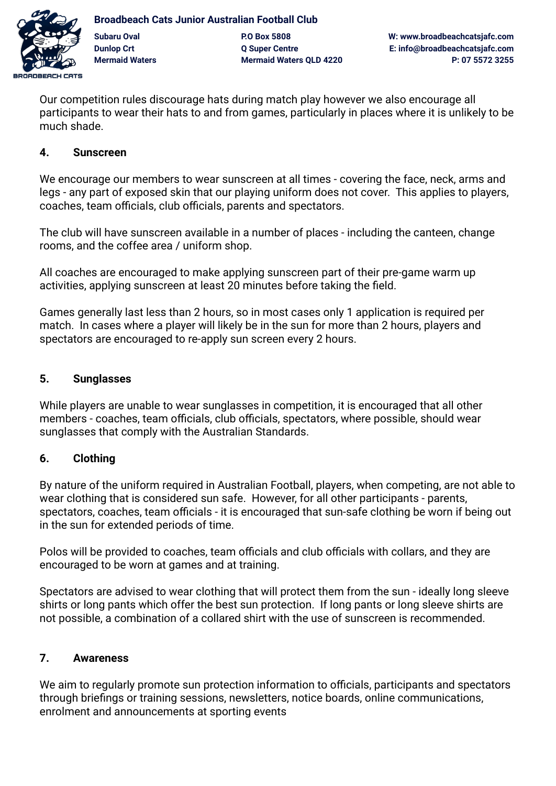

**Broadbeach Cats Junior Australian Football Club Subaru Oval P.O Box 5808 W: www.broadbeachcatsjafc.com Dunlop Crt Q Super Centre E: info@broadbeachcatsjafc.com Mermaid Waters Mermaid Waters QLD 4220 P: 07 5572 3255**

Our competition rules discourage hats during match play however we also encourage all participants to wear their hats to and from games, particularly in places where it is unlikely to be much shade.

### **4. Sunscreen**

We encourage our members to wear sunscreen at all times - covering the face, neck, arms and legs - any part of exposed skin that our playing uniform does not cover. This applies to players, coaches, team officials, club officials, parents and spectators.

The club will have sunscreen available in a number of places - including the canteen, change rooms, and the coffee area / uniform shop.

All coaches are encouraged to make applying sunscreen part of their pre-game warm up activities, applying sunscreen at least 20 minutes before taking the field.

Games generally last less than 2 hours, so in most cases only 1 application is required per match. In cases where a player will likely be in the sun for more than 2 hours, players and spectators are encouraged to re-apply sun screen every 2 hours.

#### **5. Sunglasses**

While players are unable to wear sunglasses in competition, it is encouraged that all other members - coaches, team officials, club officials, spectators, where possible, should wear sunglasses that comply with the Australian Standards.

## **6. Clothing**

By nature of the uniform required in Australian Football, players, when competing, are not able to wear clothing that is considered sun safe. However, for all other participants - parents, spectators, coaches, team officials - it is encouraged that sun-safe clothing be worn if being out in the sun for extended periods of time.

Polos will be provided to coaches, team officials and club officials with collars, and they are encouraged to be worn at games and at training.

Spectators are advised to wear clothing that will protect them from the sun - ideally long sleeve shirts or long pants which offer the best sun protection. If long pants or long sleeve shirts are not possible, a combination of a collared shirt with the use of sunscreen is recommended.

## **7. Awareness**

We aim to regularly promote sun protection information to officials, participants and spectators through briefings or training sessions, newsletters, notice boards, online communications, enrolment and announcements at sporting events